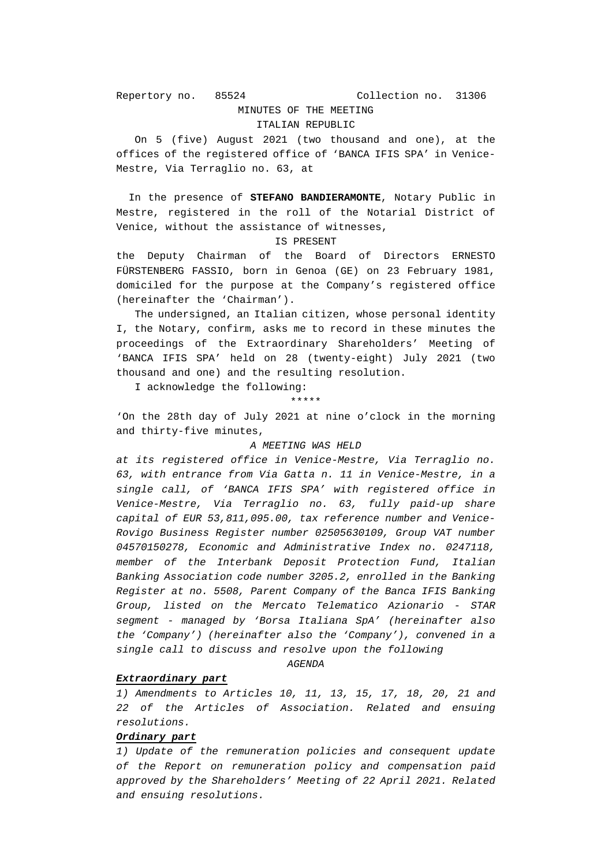## MINUTES OF THE MEETING ITALIAN REPUBLIC

 On 5 (five) August 2021 (two thousand and one), at the offices of the registered office of 'BANCA IFIS SPA' in Venice-Mestre, Via Terraglio no. 63, at

 In the presence of **STEFANO BANDIERAMONTE**, Notary Public in Mestre, registered in the roll of the Notarial District of Venice, without the assistance of witnesses,

#### IS PRESENT

the Deputy Chairman of the Board of Directors ERNESTO FÜRSTENBERG FASSIO, born in Genoa (GE) on 23 February 1981, domiciled for the purpose at the Company's registered office (hereinafter the 'Chairman').

 The undersigned, an Italian citizen, whose personal identity I, the Notary, confirm, asks me to record in these minutes the proceedings of the Extraordinary Shareholders' Meeting of 'BANCA IFIS SPA' held on 28 (twenty-eight) July 2021 (two thousand and one) and the resulting resolution.

I acknowledge the following:

\*\*\*\*\*

'On the 28th day of July 2021 at nine o'clock in the morning and thirty-five minutes,

## *A MEETING WAS HELD*

*at its registered office in Venice-Mestre, Via Terraglio no. 63, with entrance from Via Gatta n. 11 in Venice-Mestre, in a single call, of 'BANCA IFIS SPA' with registered office in Venice-Mestre, Via Terraglio no. 63, fully paid-up share capital of EUR 53,811,095.00, tax reference number and Venice-Rovigo Business Register number 02505630109, Group VAT number 04570150278, Economic and Administrative Index no. 0247118, member of the Interbank Deposit Protection Fund, Italian Banking Association code number 3205.2, enrolled in the Banking Register at no. 5508, Parent Company of the Banca IFIS Banking Group, listed on the Mercato Telematico Azionario - STAR segment - managed by 'Borsa Italiana SpA' (hereinafter also the 'Company') (hereinafter also the 'Company'), convened in a single call to discuss and resolve upon the following* 

*AGENDA* 

#### *Extraordinary part*

*1) Amendments to Articles 10, 11, 13, 15, 17, 18, 20, 21 and 22 of the Articles of Association. Related and ensuing resolutions.* 

# *Ordinary part*

*1) Update of the remuneration policies and consequent update of the Report on remuneration policy and compensation paid approved by the Shareholders' Meeting of 22 April 2021. Related and ensuing resolutions.*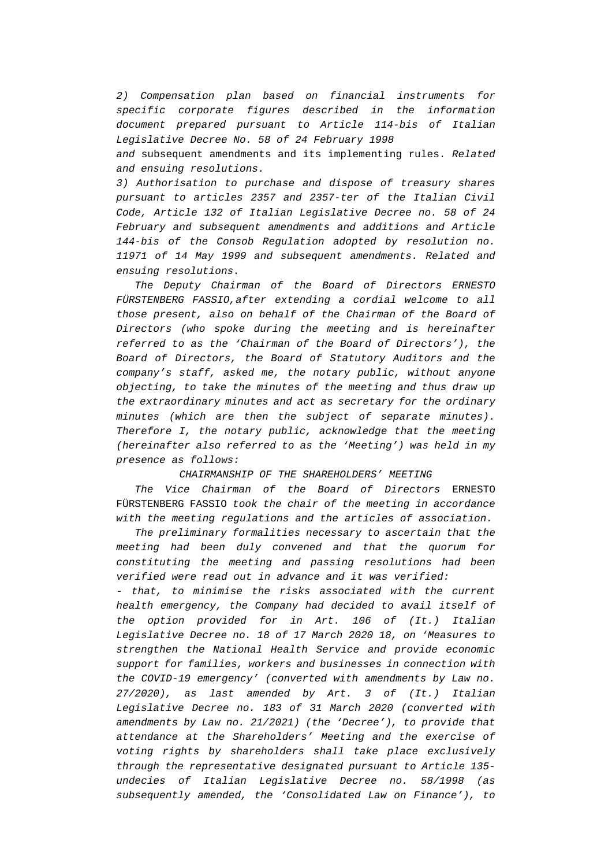*2) Compensation plan based on financial instruments for specific corporate figures described in the information document prepared pursuant to Article 114-bis of Italian Legislative Decree No. 58 of 24 February 1998 and* subsequent amendments and its implementing rules. *Related and ensuing resolutions.* 

*3) Authorisation to purchase and dispose of treasury shares pursuant to articles 2357 and 2357-ter of the Italian Civil Code, Article 132 of Italian Legislative Decree no. 58 of 24 February and subsequent amendments and additions and Article 144-bis of the Consob Regulation adopted by resolution no. 11971 of 14 May 1999 and subsequent amendments. Related and ensuing resolutions.* 

 *The Deputy Chairman of the Board of Directors ERNESTO FÜRSTENBERG FASSIO,after extending a cordial welcome to all those present, also on behalf of the Chairman of the Board of Directors (who spoke during the meeting and is hereinafter referred to as the 'Chairman of the Board of Directors'), the Board of Directors, the Board of Statutory Auditors and the company's staff, asked me, the notary public, without anyone objecting, to take the minutes of the meeting and thus draw up the extraordinary minutes and act as secretary for the ordinary minutes (which are then the subject of separate minutes). Therefore I, the notary public, acknowledge that the meeting (hereinafter also referred to as the 'Meeting') was held in my presence as follows:* 

### *CHAIRMANSHIP OF THE SHAREHOLDERS' MEETING*

 *The Vice Chairman of the Board of Directors* ERNESTO FÜRSTENBERG FASSIO *took the chair of the meeting in accordance with the meeting regulations and the articles of association.*

 *The preliminary formalities necessary to ascertain that the meeting had been duly convened and that the quorum for constituting the meeting and passing resolutions had been verified were read out in advance and it was verified:* 

*- that, to minimise the risks associated with the current health emergency, the Company had decided to avail itself of the option provided for in Art. 106 of (It.) Italian Legislative Decree no. 18 of 17 March 2020 18, on 'Measures to strengthen the National Health Service and provide economic support for families, workers and businesses in connection with the COVID-19 emergency' (converted with amendments by Law no. 27/2020), as last amended by Art. 3 of (It.) Italian Legislative Decree no. 183 of 31 March 2020 (converted with amendments by Law no. 21/2021) (the 'Decree'), to provide that attendance at the Shareholders' Meeting and the exercise of voting rights by shareholders shall take place exclusively through the representative designated pursuant to Article 135 undecies of Italian Legislative Decree no. 58/1998 (as subsequently amended, the 'Consolidated Law on Finance'), to*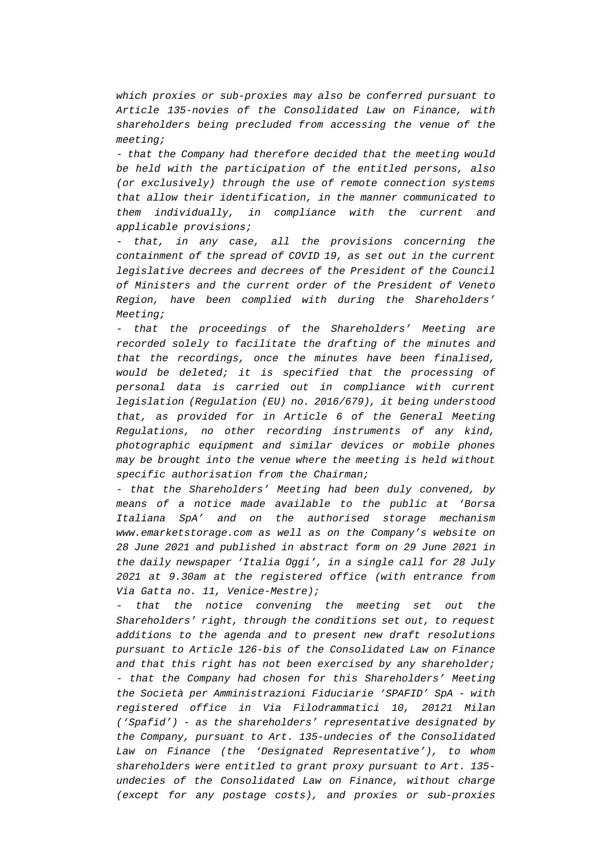*which proxies or sub-proxies may also be conferred pursuant to Article 135-novies of the Consolidated Law on Finance, with shareholders being precluded from accessing the venue of the meeting;* 

*- that the Company had therefore decided that the meeting would be held with the participation of the entitled persons, also (or exclusively) through the use of remote connection systems that allow their identification, in the manner communicated to them individually, in compliance with the current and applicable provisions;* 

*- that, in any case, all the provisions concerning the containment of the spread of COVID 19, as set out in the current legislative decrees and decrees of the President of the Council of Ministers and the current order of the President of Veneto Region, have been complied with during the Shareholders' Meeting;* 

*- that the proceedings of the Shareholders' Meeting are recorded solely to facilitate the drafting of the minutes and that the recordings, once the minutes have been finalised, would be deleted; it is specified that the processing of personal data is carried out in compliance with current legislation (Regulation (EU) no. 2016/679), it being understood that, as provided for in Article 6 of the General Meeting Regulations, no other recording instruments of any kind, photographic equipment and similar devices or mobile phones may be brought into the venue where the meeting is held without specific authorisation from the Chairman;* 

*- that the Shareholders' Meeting had been duly convened, by means of a notice made available to the public at 'Borsa Italiana SpA' and on the authorised storage mechanism www.emarketstorage.com as well as on the Company's website on 28 June 2021 and published in abstract form on 29 June 2021 in the daily newspaper 'Italia Oggi', in a single call for 28 July 2021 at 9.30am at the registered office (with entrance from Via Gatta no. 11, Venice-Mestre);* 

*- that the notice convening the meeting set out the Shareholders' right, through the conditions set out, to request additions to the agenda and to present new draft resolutions pursuant to Article 126-bis of the Consolidated Law on Finance and that this right has not been exercised by any shareholder; - that the Company had chosen for this Shareholders' Meeting the Società per Amministrazioni Fiduciarie 'SPAFID' SpA - with registered office in Via Filodrammatici 10, 20121 Milan ('Spafid') - as the shareholders' representative designated by the Company, pursuant to Art. 135-undecies of the Consolidated Law on Finance (the 'Designated Representative'), to whom shareholders were entitled to grant proxy pursuant to Art. 135 undecies of the Consolidated Law on Finance, without charge (except for any postage costs), and proxies or sub-proxies*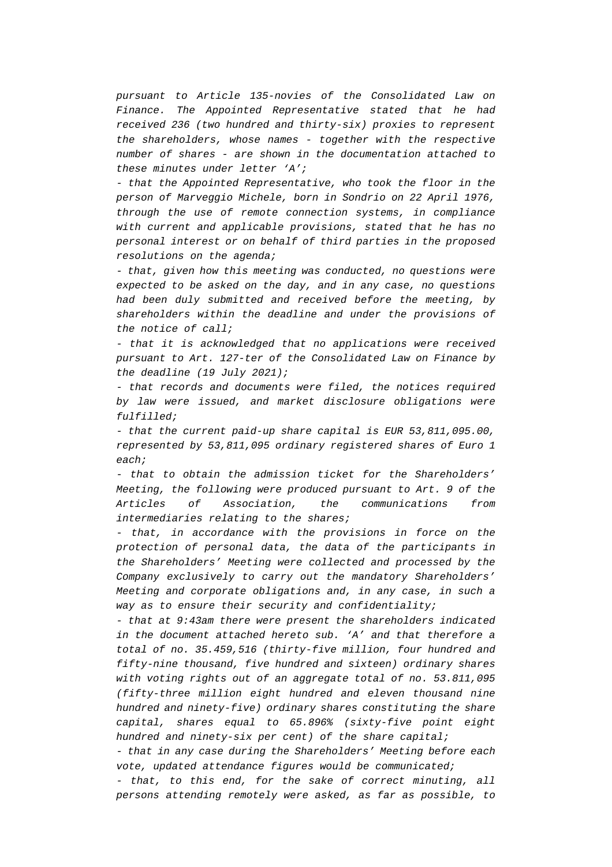*pursuant to Article 135-novies of the Consolidated Law on Finance. The Appointed Representative stated that he had received 236 (two hundred and thirty-six) proxies to represent the shareholders, whose names - together with the respective number of shares - are shown in the documentation attached to these minutes under letter 'A';* 

*- that the Appointed Representative, who took the floor in the person of Marveggio Michele, born in Sondrio on 22 April 1976, through the use of remote connection systems, in compliance with current and applicable provisions, stated that he has no personal interest or on behalf of third parties in the proposed resolutions on the agenda;* 

*- that, given how this meeting was conducted, no questions were expected to be asked on the day, and in any case, no questions had been duly submitted and received before the meeting, by shareholders within the deadline and under the provisions of the notice of call;* 

*- that it is acknowledged that no applications were received pursuant to Art. 127-ter of the Consolidated Law on Finance by the deadline (19 July 2021);* 

*- that records and documents were filed, the notices required by law were issued, and market disclosure obligations were fulfilled;* 

*- that the current paid-up share capital is EUR 53,811,095.00, represented by 53,811,095 ordinary registered shares of Euro 1 each;* 

*- that to obtain the admission ticket for the Shareholders' Meeting, the following were produced pursuant to Art. 9 of the Articles of Association, the communications from intermediaries relating to the shares;* 

*- that, in accordance with the provisions in force on the protection of personal data, the data of the participants in the Shareholders' Meeting were collected and processed by the Company exclusively to carry out the mandatory Shareholders' Meeting and corporate obligations and, in any case, in such a way as to ensure their security and confidentiality;* 

*- that at 9:43am there were present the shareholders indicated in the document attached hereto sub. 'A' and that therefore a total of no. 35.459,516 (thirty-five million, four hundred and fifty-nine thousand, five hundred and sixteen) ordinary shares with voting rights out of an aggregate total of no. 53.811,095 (fifty-three million eight hundred and eleven thousand nine hundred and ninety-five) ordinary shares constituting the share capital, shares equal to 65.896% (sixty-five point eight hundred and ninety-six per cent) of the share capital;* 

*- that in any case during the Shareholders' Meeting before each vote, updated attendance figures would be communicated;* 

*- that, to this end, for the sake of correct minuting, all persons attending remotely were asked, as far as possible, to*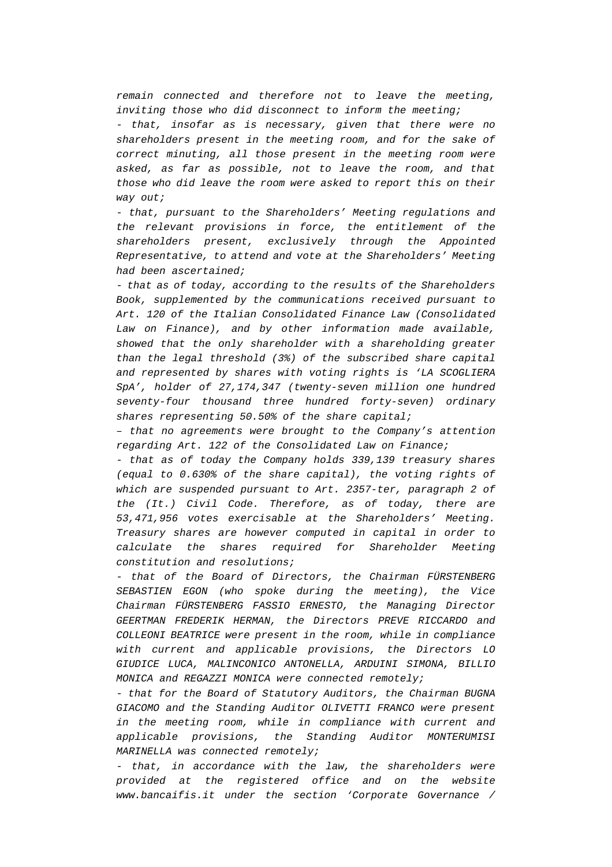*remain connected and therefore not to leave the meeting, inviting those who did disconnect to inform the meeting;* 

*- that, insofar as is necessary, given that there were no shareholders present in the meeting room, and for the sake of correct minuting, all those present in the meeting room were asked, as far as possible, not to leave the room, and that those who did leave the room were asked to report this on their way out;* 

*- that, pursuant to the Shareholders' Meeting regulations and the relevant provisions in force, the entitlement of the shareholders present, exclusively through the Appointed Representative, to attend and vote at the Shareholders' Meeting had been ascertained;* 

*- that as of today, according to the results of the Shareholders Book, supplemented by the communications received pursuant to Art. 120 of the Italian Consolidated Finance Law (Consolidated Law on Finance), and by other information made available, showed that the only shareholder with a shareholding greater than the legal threshold (3%) of the subscribed share capital and represented by shares with voting rights is 'LA SCOGLIERA SpA', holder of 27,174,347 (twenty-seven million one hundred seventy-four thousand three hundred forty-seven) ordinary shares representing 50.50% of the share capital;* 

*– that no agreements were brought to the Company's attention regarding Art. 122 of the Consolidated Law on Finance;* 

*- that as of today the Company holds 339,139 treasury shares (equal to 0.630% of the share capital), the voting rights of which are suspended pursuant to Art. 2357-ter, paragraph 2 of the (It.) Civil Code. Therefore, as of today, there are 53,471,956 votes exercisable at the Shareholders' Meeting. Treasury shares are however computed in capital in order to calculate the shares required for Shareholder Meeting constitution and resolutions;* 

*- that of the Board of Directors, the Chairman FÜRSTENBERG SEBASTIEN EGON (who spoke during the meeting), the Vice Chairman FÜRSTENBERG FASSIO ERNESTO, the Managing Director GEERTMAN FREDERIK HERMAN, the Directors PREVE RICCARDO and COLLEONI BEATRICE were present in the room, while in compliance with current and applicable provisions, the Directors LO GIUDICE LUCA, MALINCONICO ANTONELLA, ARDUINI SIMONA, BILLIO MONICA and REGAZZI MONICA were connected remotely;* 

*- that for the Board of Statutory Auditors, the Chairman BUGNA GIACOMO and the Standing Auditor OLIVETTI FRANCO were present in the meeting room, while in compliance with current and applicable provisions, the Standing Auditor MONTERUMISI MARINELLA was connected remotely;* 

*- that, in accordance with the law, the shareholders were provided at the registered office and on the website www.bancaifis.it under the section 'Corporate Governance /*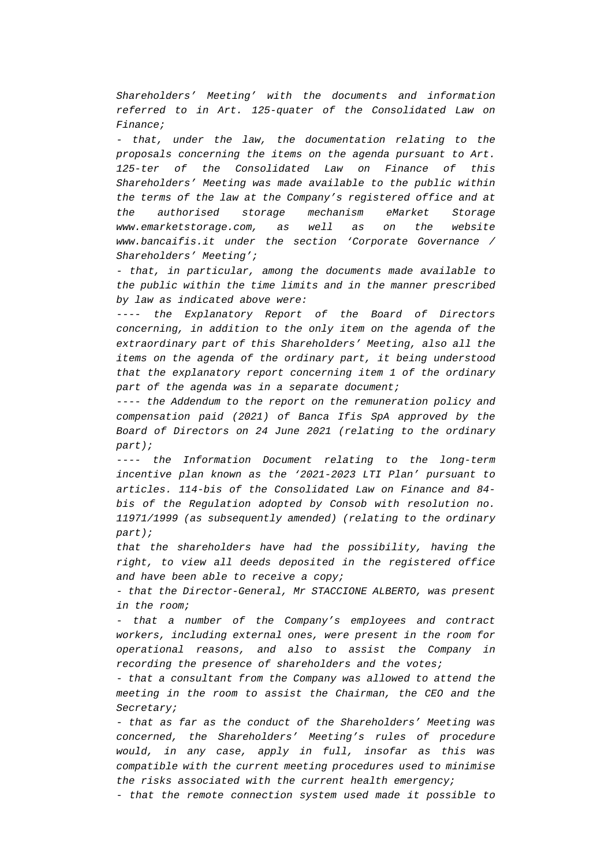*Shareholders' Meeting' with the documents and information referred to in Art. 125-quater of the Consolidated Law on Finance;* 

*- that, under the law, the documentation relating to the proposals concerning the items on the agenda pursuant to Art. 125-ter of the Consolidated Law on Finance of this Shareholders' Meeting was made available to the public within the terms of the law at the Company's registered office and at the authorised storage mechanism eMarket Storage www.emarketstorage.com, as well as on the website www.bancaifis.it under the section 'Corporate Governance / Shareholders' Meeting';* 

*- that, in particular, among the documents made available to the public within the time limits and in the manner prescribed by law as indicated above were:* 

*---- the Explanatory Report of the Board of Directors concerning, in addition to the only item on the agenda of the extraordinary part of this Shareholders' Meeting, also all the items on the agenda of the ordinary part, it being understood that the explanatory report concerning item 1 of the ordinary part of the agenda was in a separate document;* 

*---- the Addendum to the report on the remuneration policy and compensation paid (2021) of Banca Ifis SpA approved by the Board of Directors on 24 June 2021 (relating to the ordinary part);* 

*---- the Information Document relating to the long-term incentive plan known as the '2021-2023 LTI Plan' pursuant to articles. 114-bis of the Consolidated Law on Finance and 84 bis of the Regulation adopted by Consob with resolution no. 11971/1999 (as subsequently amended) (relating to the ordinary part);* 

*that the shareholders have had the possibility, having the right, to view all deeds deposited in the registered office and have been able to receive a copy;* 

*- that the Director-General, Mr STACCIONE ALBERTO, was present in the room;* 

*- that a number of the Company's employees and contract workers, including external ones, were present in the room for operational reasons, and also to assist the Company in recording the presence of shareholders and the votes;* 

*- that a consultant from the Company was allowed to attend the meeting in the room to assist the Chairman, the CEO and the Secretary;* 

*- that as far as the conduct of the Shareholders' Meeting was concerned, the Shareholders' Meeting's rules of procedure would, in any case, apply in full, insofar as this was compatible with the current meeting procedures used to minimise the risks associated with the current health emergency;* 

*- that the remote connection system used made it possible to*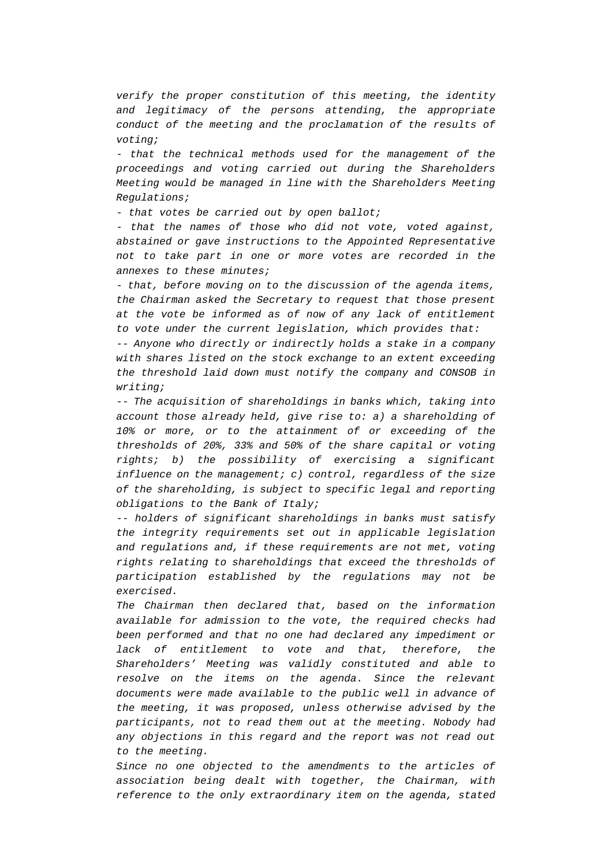*verify the proper constitution of this meeting, the identity and legitimacy of the persons attending, the appropriate conduct of the meeting and the proclamation of the results of voting;* 

*- that the technical methods used for the management of the proceedings and voting carried out during the Shareholders Meeting would be managed in line with the Shareholders Meeting Regulations;* 

*- that votes be carried out by open ballot;* 

*- that the names of those who did not vote, voted against, abstained or gave instructions to the Appointed Representative not to take part in one or more votes are recorded in the annexes to these minutes;* 

*- that, before moving on to the discussion of the agenda items, the Chairman asked the Secretary to request that those present at the vote be informed as of now of any lack of entitlement to vote under the current legislation, which provides that:* 

*-- Anyone who directly or indirectly holds a stake in a company with shares listed on the stock exchange to an extent exceeding the threshold laid down must notify the company and CONSOB in writing;* 

*-- The acquisition of shareholdings in banks which, taking into account those already held, give rise to: a) a shareholding of 10% or more, or to the attainment of or exceeding of the thresholds of 20%, 33% and 50% of the share capital or voting rights; b) the possibility of exercising a significant influence on the management; c) control, regardless of the size of the shareholding, is subject to specific legal and reporting obligations to the Bank of Italy;* 

*-- holders of significant shareholdings in banks must satisfy the integrity requirements set out in applicable legislation and regulations and, if these requirements are not met, voting rights relating to shareholdings that exceed the thresholds of participation established by the regulations may not be exercised.* 

*The Chairman then declared that, based on the information available for admission to the vote, the required checks had been performed and that no one had declared any impediment or lack of entitlement to vote and that, therefore, the Shareholders' Meeting was validly constituted and able to resolve on the items on the agenda. Since the relevant documents were made available to the public well in advance of the meeting, it was proposed, unless otherwise advised by the participants, not to read them out at the meeting. Nobody had any objections in this regard and the report was not read out to the meeting.* 

*Since no one objected to the amendments to the articles of association being dealt with together, the Chairman, with reference to the only extraordinary item on the agenda, stated*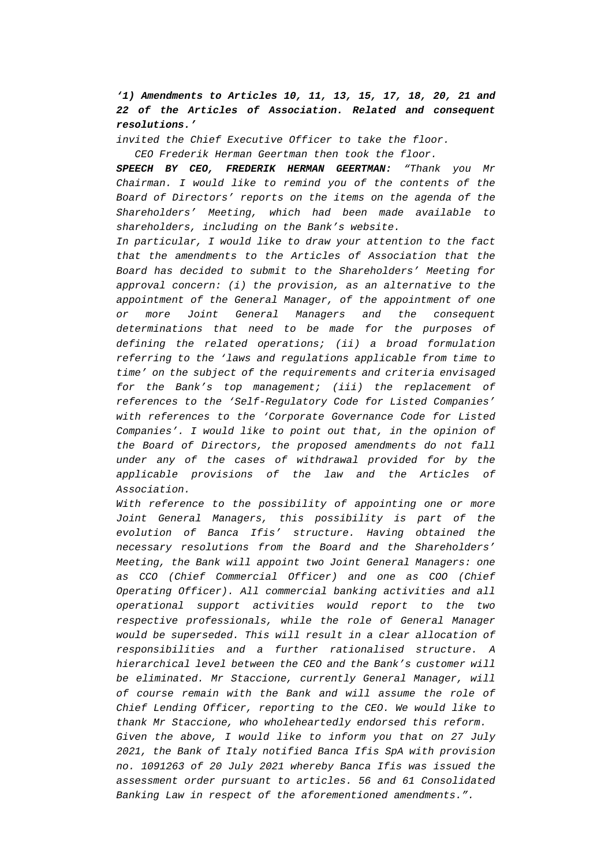*'1) Amendments to Articles 10, 11, 13, 15, 17, 18, 20, 21 and 22 of the Articles of Association. Related and consequent resolutions.'*

*invited the Chief Executive Officer to take the floor.* 

 *CEO Frederik Herman Geertman then took the floor.* 

*SPEECH BY CEO, FREDERIK HERMAN GEERTMAN: "Thank you Mr Chairman. I would like to remind you of the contents of the Board of Directors' reports on the items on the agenda of the Shareholders' Meeting, which had been made available to shareholders, including on the Bank's website.* 

*In particular, I would like to draw your attention to the fact that the amendments to the Articles of Association that the Board has decided to submit to the Shareholders' Meeting for approval concern: (i) the provision, as an alternative to the appointment of the General Manager, of the appointment of one or more Joint General Managers and the consequent determinations that need to be made for the purposes of defining the related operations; (ii) a broad formulation referring to the 'laws and regulations applicable from time to time' on the subject of the requirements and criteria envisaged for the Bank's top management; (iii) the replacement of references to the 'Self-Regulatory Code for Listed Companies' with references to the 'Corporate Governance Code for Listed Companies'. I would like to point out that, in the opinion of the Board of Directors, the proposed amendments do not fall under any of the cases of withdrawal provided for by the applicable provisions of the law and the Articles of Association.* 

*With reference to the possibility of appointing one or more Joint General Managers, this possibility is part of the evolution of Banca Ifis' structure. Having obtained the necessary resolutions from the Board and the Shareholders' Meeting, the Bank will appoint two Joint General Managers: one as CCO (Chief Commercial Officer) and one as COO (Chief Operating Officer). All commercial banking activities and all operational support activities would report to the two respective professionals, while the role of General Manager would be superseded. This will result in a clear allocation of responsibilities and a further rationalised structure. A hierarchical level between the CEO and the Bank's customer will be eliminated. Mr Staccione, currently General Manager, will of course remain with the Bank and will assume the role of Chief Lending Officer, reporting to the CEO. We would like to thank Mr Staccione, who wholeheartedly endorsed this reform. Given the above, I would like to inform you that on 27 July 2021, the Bank of Italy notified Banca Ifis SpA with provision no. 1091263 of 20 July 2021 whereby Banca Ifis was issued the assessment order pursuant to articles. 56 and 61 Consolidated Banking Law in respect of the aforementioned amendments.".*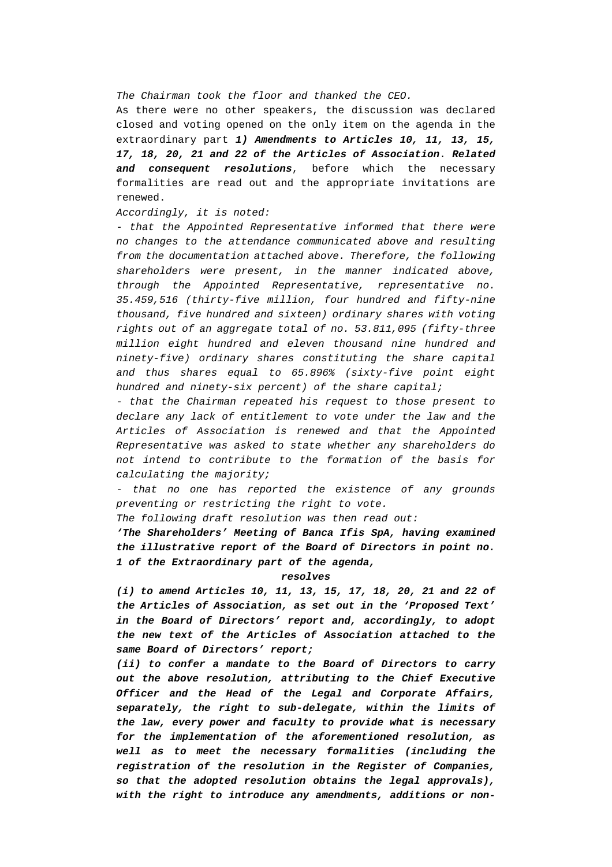### *The Chairman took the floor and thanked the CEO.*

As there were no other speakers, the discussion was declared closed and voting opened on the only item on the agenda in the extraordinary part *1) Amendments to Articles 10, 11, 13, 15, 17, 18, 20, 21 and 22 of the Articles of Association*. *Related and consequent resolutions*, before which the necessary formalities are read out and the appropriate invitations are renewed.

### *Accordingly, it is noted:*

*- that the Appointed Representative informed that there were no changes to the attendance communicated above and resulting from the documentation attached above. Therefore, the following shareholders were present, in the manner indicated above, through the Appointed Representative, representative no. 35.459,516 (thirty-five million, four hundred and fifty-nine thousand, five hundred and sixteen) ordinary shares with voting rights out of an aggregate total of no. 53.811,095 (fifty-three million eight hundred and eleven thousand nine hundred and ninety-five) ordinary shares constituting the share capital and thus shares equal to 65.896% (sixty-five point eight hundred and ninety-six percent) of the share capital;* 

*- that the Chairman repeated his request to those present to declare any lack of entitlement to vote under the law and the Articles of Association is renewed and that the Appointed Representative was asked to state whether any shareholders do not intend to contribute to the formation of the basis for calculating the majority;* 

*- that no one has reported the existence of any grounds preventing or restricting the right to vote.* 

*The following draft resolution was then read out:* 

*'The Shareholders' Meeting of Banca Ifis SpA, having examined the illustrative report of the Board of Directors in point no. 1 of the Extraordinary part of the agenda,* 

#### *resolves*

*(i) to amend Articles 10, 11, 13, 15, 17, 18, 20, 21 and 22 of the Articles of Association, as set out in the 'Proposed Text' in the Board of Directors' report and, accordingly, to adopt the new text of the Articles of Association attached to the same Board of Directors' report;* 

*(ii) to confer a mandate to the Board of Directors to carry out the above resolution, attributing to the Chief Executive Officer and the Head of the Legal and Corporate Affairs, separately, the right to sub-delegate, within the limits of the law, every power and faculty to provide what is necessary for the implementation of the aforementioned resolution, as well as to meet the necessary formalities (including the registration of the resolution in the Register of Companies, so that the adopted resolution obtains the legal approvals), with the right to introduce any amendments, additions or non-*